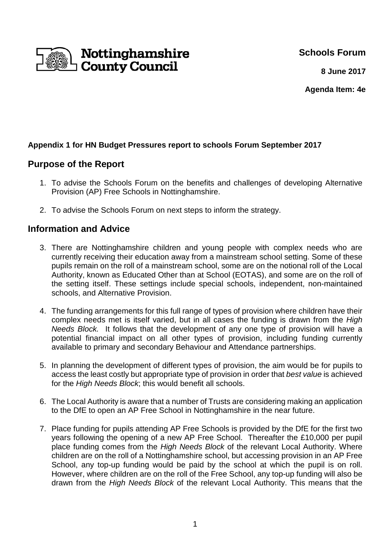**Schools Forum**



**8 June 2017**

**Agenda Item: 4e**

## **Appendix 1 for HN Budget Pressures report to schools Forum September 2017**

# **Purpose of the Report**

- 1. To advise the Schools Forum on the benefits and challenges of developing Alternative Provision (AP) Free Schools in Nottinghamshire.
- 2. To advise the Schools Forum on next steps to inform the strategy.

# **Information and Advice**

- 3. There are Nottinghamshire children and young people with complex needs who are currently receiving their education away from a mainstream school setting. Some of these pupils remain on the roll of a mainstream school, some are on the notional roll of the Local Authority, known as Educated Other than at School (EOTAS), and some are on the roll of the setting itself. These settings include special schools, independent, non-maintained schools, and Alternative Provision.
- 4. The funding arrangements for this full range of types of provision where children have their complex needs met is itself varied, but in all cases the funding is drawn from the High Needs Block. It follows that the development of any one type of provision will have a potential financial impact on all other types of provision, including funding currently available to primary and secondary Behaviour and Attendance partnerships.
- 5. In planning the development of different types of provision, the aim would be for pupils to access the least costly but appropriate type of provision in order that best value is achieved for the High Needs Block; this would benefit all schools.
- 6. The Local Authority is aware that a number of Trusts are considering making an application to the DfE to open an AP Free School in Nottinghamshire in the near future.
- 7. Place funding for pupils attending AP Free Schools is provided by the DfE for the first two years following the opening of a new AP Free School. Thereafter the £10,000 per pupil place funding comes from the High Needs Block of the relevant Local Authority. Where children are on the roll of a Nottinghamshire school, but accessing provision in an AP Free School, any top-up funding would be paid by the school at which the pupil is on roll. However, where children are on the roll of the Free School, any top-up funding will also be drawn from the High Needs Block of the relevant Local Authority. This means that the